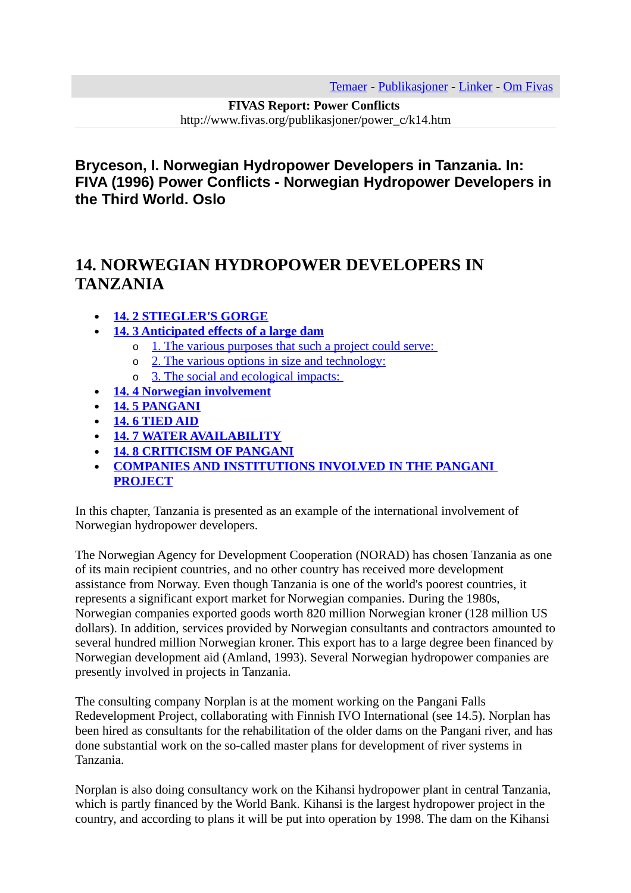[Temaer](http://www.fivas.org/tema/index.html) - [Publikasjoner](http://www.fivas.org/pub/index.html) - [Linker](http://www.fivas.org/linker/index.html) - [Om Fivas](http://www.fivas.org/about/index.html)

**FIVAS Report: Power Conflicts**  http://www.fivas.org/publikasjoner/power\_c/k14.htm

**Bryceson, I. Norwegian Hydropower Developers in Tanzania. In: FIVA (1996) Power Conflicts - Norwegian Hydropower Developers in the Third World. Oslo**

### **14. NORWEGIAN HYDROPOWER DEVELOPERS IN TANZANIA**

- **[14. 2 STIEGLER'S GORGE](http://www.fivas.org/publikasjoner/power_c/k14.htm#O1)**
- **[14. 3 Anticipated effects of a large dam](http://www.fivas.org/publikasjoner/power_c/k14.htm#O2)**
	- o [1. The various purposes that such a project could serve:](http://www.fivas.org/publikasjoner/power_c/k14.htm#O3)
	- o [2. The various options in size and technology:](http://www.fivas.org/publikasjoner/power_c/k14.htm#O4)
	- o [3. The social and ecological impacts:](http://www.fivas.org/publikasjoner/power_c/k14.htm#O5)
- **[14. 4 Norwegian involvement](http://www.fivas.org/publikasjoner/power_c/k14.htm#O6)**
- **[14. 5 PANGANI](http://www.fivas.org/publikasjoner/power_c/k14.htm#O7)**
- **[14. 6 TIED AID](http://www.fivas.org/publikasjoner/power_c/k14.htm#O8)**
- **[14. 7 WATER AVAILABILITY](http://www.fivas.org/publikasjoner/power_c/k14.htm#O9)**
- **[14. 8 CRITICISM OF PANGANI](http://www.fivas.org/publikasjoner/power_c/k14.htm#O10)**
- **[COMPANIES AND INSTITUTIONS INVOLVED IN THE PANGANI](http://www.fivas.org/publikasjoner/power_c/k14.htm#O11)  [PROJECT](http://www.fivas.org/publikasjoner/power_c/k14.htm#O11)**

In this chapter, Tanzania is presented as an example of the international involvement of Norwegian hydropower developers.

The Norwegian Agency for Development Cooperation (NORAD) has chosen Tanzania as one of its main recipient countries, and no other country has received more development assistance from Norway. Even though Tanzania is one of the world's poorest countries, it represents a significant export market for Norwegian companies. During the 1980s, Norwegian companies exported goods worth 820 million Norwegian kroner (128 million US dollars). In addition, services provided by Norwegian consultants and contractors amounted to several hundred million Norwegian kroner. This export has to a large degree been financed by Norwegian development aid (Amland, 1993). Several Norwegian hydropower companies are presently involved in projects in Tanzania.

The consulting company Norplan is at the moment working on the Pangani Falls Redevelopment Project, collaborating with Finnish IVO International (see 14.5). Norplan has been hired as consultants for the rehabilitation of the older dams on the Pangani river, and has done substantial work on the so-called master plans for development of river systems in Tanzania.

Norplan is also doing consultancy work on the Kihansi hydropower plant in central Tanzania, which is partly financed by the World Bank. Kihansi is the largest hydropower project in the country, and according to plans it will be put into operation by 1998. The dam on the Kihansi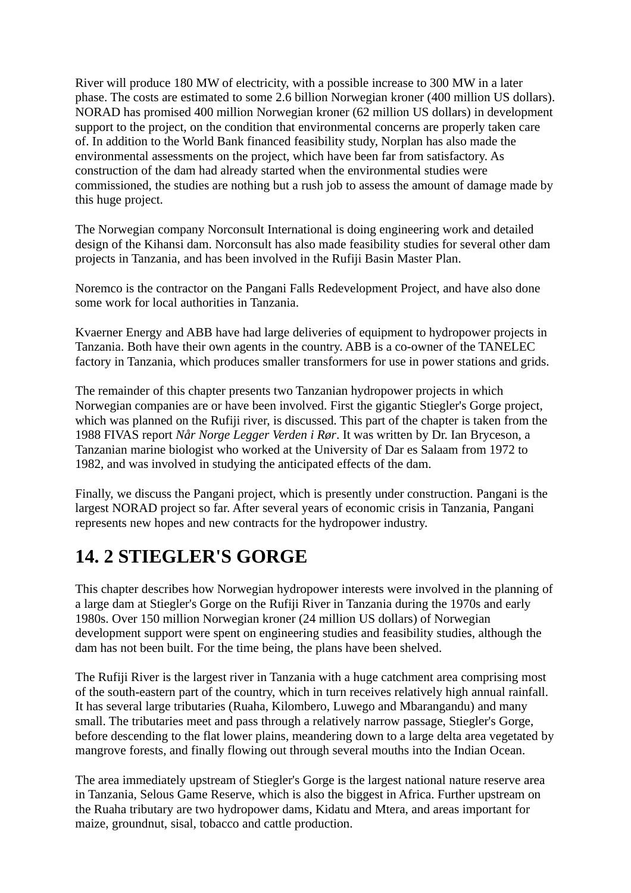River will produce 180 MW of electricity, with a possible increase to 300 MW in a later phase. The costs are estimated to some 2.6 billion Norwegian kroner (400 million US dollars). NORAD has promised 400 million Norwegian kroner (62 million US dollars) in development support to the project, on the condition that environmental concerns are properly taken care of. In addition to the World Bank financed feasibility study, Norplan has also made the environmental assessments on the project, which have been far from satisfactory. As construction of the dam had already started when the environmental studies were commissioned, the studies are nothing but a rush job to assess the amount of damage made by this huge project.

The Norwegian company Norconsult International is doing engineering work and detailed design of the Kihansi dam. Norconsult has also made feasibility studies for several other dam projects in Tanzania, and has been involved in the Rufiji Basin Master Plan.

Noremco is the contractor on the Pangani Falls Redevelopment Project, and have also done some work for local authorities in Tanzania.

Kvaerner Energy and ABB have had large deliveries of equipment to hydropower projects in Tanzania. Both have their own agents in the country. ABB is a co-owner of the TANELEC factory in Tanzania, which produces smaller transformers for use in power stations and grids.

The remainder of this chapter presents two Tanzanian hydropower projects in which Norwegian companies are or have been involved. First the gigantic Stiegler's Gorge project, which was planned on the Rufiji river, is discussed. This part of the chapter is taken from the 1988 FIVAS report *Når Norge Legger Verden i Rør*. It was written by Dr. Ian Bryceson, a Tanzanian marine biologist who worked at the University of Dar es Salaam from 1972 to 1982, and was involved in studying the anticipated effects of the dam.

Finally, we discuss the Pangani project, which is presently under construction. Pangani is the largest NORAD project so far. After several years of economic crisis in Tanzania, Pangani represents new hopes and new contracts for the hydropower industry.

## **14. 2 STIEGLER'S GORGE**

This chapter describes how Norwegian hydropower interests were involved in the planning of a large dam at Stiegler's Gorge on the Rufiji River in Tanzania during the 1970s and early 1980s. Over 150 million Norwegian kroner (24 million US dollars) of Norwegian development support were spent on engineering studies and feasibility studies, although the dam has not been built. For the time being, the plans have been shelved.

The Rufiji River is the largest river in Tanzania with a huge catchment area comprising most of the south-eastern part of the country, which in turn receives relatively high annual rainfall. It has several large tributaries (Ruaha, Kilombero, Luwego and Mbarangandu) and many small. The tributaries meet and pass through a relatively narrow passage, Stiegler's Gorge, before descending to the flat lower plains, meandering down to a large delta area vegetated by mangrove forests, and finally flowing out through several mouths into the Indian Ocean.

The area immediately upstream of Stiegler's Gorge is the largest national nature reserve area in Tanzania, Selous Game Reserve, which is also the biggest in Africa. Further upstream on the Ruaha tributary are two hydropower dams, Kidatu and Mtera, and areas important for maize, groundnut, sisal, tobacco and cattle production.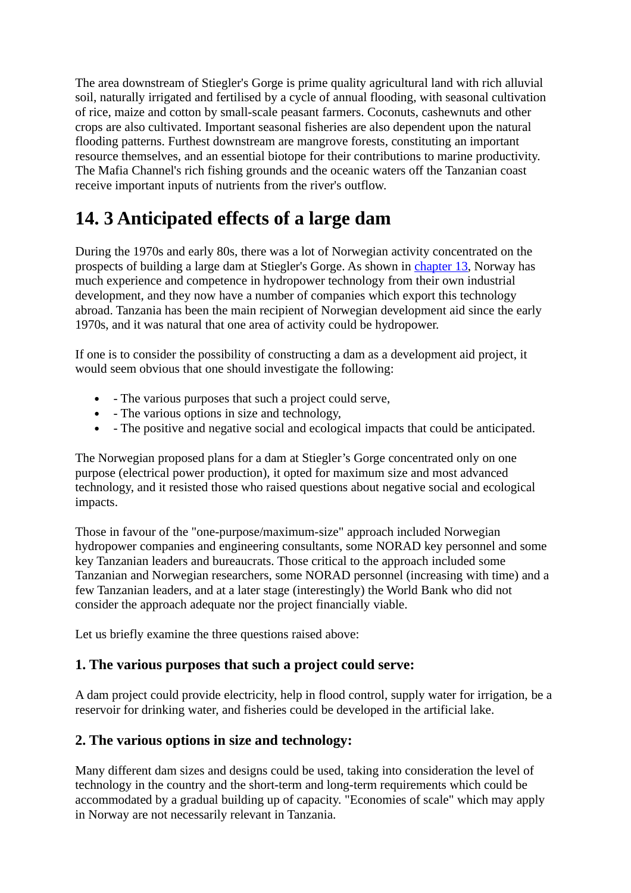The area downstream of Stiegler's Gorge is prime quality agricultural land with rich alluvial soil, naturally irrigated and fertilised by a cycle of annual flooding, with seasonal cultivation of rice, maize and cotton by small-scale peasant farmers. Coconuts, cashewnuts and other crops are also cultivated. Important seasonal fisheries are also dependent upon the natural flooding patterns. Furthest downstream are mangrove forests, constituting an important resource themselves, and an essential biotope for their contributions to marine productivity. The Mafia Channel's rich fishing grounds and the oceanic waters off the Tanzanian coast receive important inputs of nutrients from the river's outflow.

# **14. 3 Anticipated effects of a large dam**

During the 1970s and early 80s, there was a lot of Norwegian activity concentrated on the prospects of building a large dam at Stiegler's Gorge. As shown in *chapter 13*, Norway has much experience and competence in hydropower technology from their own industrial development, and they now have a number of companies which export this technology abroad. Tanzania has been the main recipient of Norwegian development aid since the early 1970s, and it was natural that one area of activity could be hydropower.

If one is to consider the possibility of constructing a dam as a development aid project, it would seem obvious that one should investigate the following:

- The various purposes that such a project could serve,
- The various options in size and technology,
- The positive and negative social and ecological impacts that could be anticipated.

The Norwegian proposed plans for a dam at Stiegler's Gorge concentrated only on one purpose (electrical power production), it opted for maximum size and most advanced technology, and it resisted those who raised questions about negative social and ecological impacts.

Those in favour of the "one-purpose/maximum-size" approach included Norwegian hydropower companies and engineering consultants, some NORAD key personnel and some key Tanzanian leaders and bureaucrats. Those critical to the approach included some Tanzanian and Norwegian researchers, some NORAD personnel (increasing with time) and a few Tanzanian leaders, and at a later stage (interestingly) the World Bank who did not consider the approach adequate nor the project financially viable.

Let us briefly examine the three questions raised above:

#### **1. The various purposes that such a project could serve:**

A dam project could provide electricity, help in flood control, supply water for irrigation, be a reservoir for drinking water, and fisheries could be developed in the artificial lake.

#### **2. The various options in size and technology:**

Many different dam sizes and designs could be used, taking into consideration the level of technology in the country and the short-term and long-term requirements which could be accommodated by a gradual building up of capacity. "Economies of scale" which may apply in Norway are not necessarily relevant in Tanzania.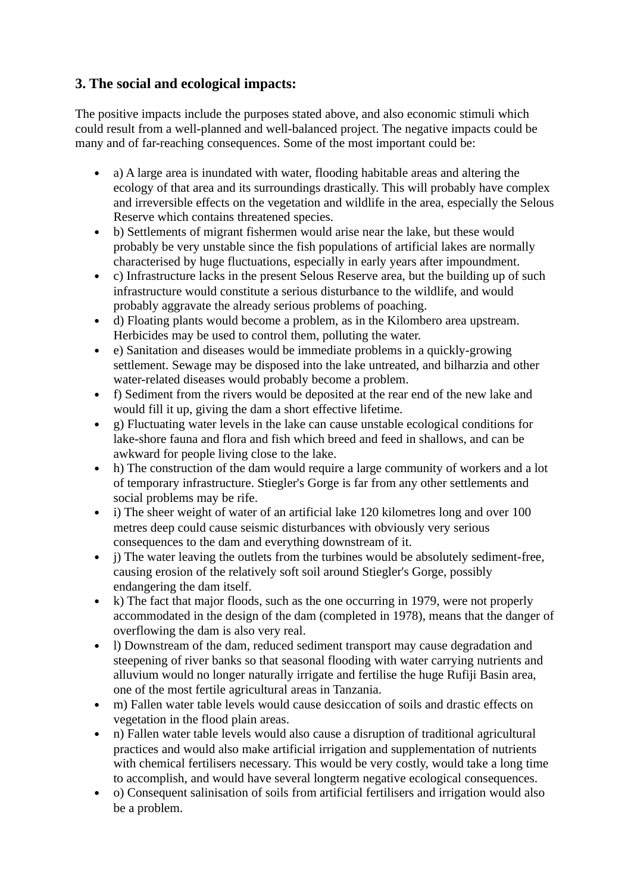#### **3. The social and ecological impacts:**

The positive impacts include the purposes stated above, and also economic stimuli which could result from a well-planned and well-balanced project. The negative impacts could be many and of far-reaching consequences. Some of the most important could be:

- a) A large area is inundated with water, flooding habitable areas and altering the ecology of that area and its surroundings drastically. This will probably have complex and irreversible effects on the vegetation and wildlife in the area, especially the Selous Reserve which contains threatened species.
- b) Settlements of migrant fishermen would arise near the lake, but these would probably be very unstable since the fish populations of artificial lakes are normally characterised by huge fluctuations, especially in early years after impoundment.
- c) Infrastructure lacks in the present Selous Reserve area, but the building up of such infrastructure would constitute a serious disturbance to the wildlife, and would probably aggravate the already serious problems of poaching.
- d) Floating plants would become a problem, as in the Kilombero area upstream. Herbicides may be used to control them, polluting the water.
- e) Sanitation and diseases would be immediate problems in a quickly-growing settlement. Sewage may be disposed into the lake untreated, and bilharzia and other water-related diseases would probably become a problem.
- f) Sediment from the rivers would be deposited at the rear end of the new lake and would fill it up, giving the dam a short effective lifetime.
- g) Fluctuating water levels in the lake can cause unstable ecological conditions for lake-shore fauna and flora and fish which breed and feed in shallows, and can be awkward for people living close to the lake.
- h) The construction of the dam would require a large community of workers and a lot of temporary infrastructure. Stiegler's Gorge is far from any other settlements and social problems may be rife.
- i) The sheer weight of water of an artificial lake 120 kilometres long and over 100 metres deep could cause seismic disturbances with obviously very serious consequences to the dam and everything downstream of it.
- i) The water leaving the outlets from the turbines would be absolutely sediment-free, causing erosion of the relatively soft soil around Stiegler's Gorge, possibly endangering the dam itself.
- k) The fact that major floods, such as the one occurring in 1979, were not properly accommodated in the design of the dam (completed in 1978), means that the danger of overflowing the dam is also very real.
- l) Downstream of the dam, reduced sediment transport may cause degradation and steepening of river banks so that seasonal flooding with water carrying nutrients and alluvium would no longer naturally irrigate and fertilise the huge Rufiji Basin area, one of the most fertile agricultural areas in Tanzania.
- m) Fallen water table levels would cause desiccation of soils and drastic effects on vegetation in the flood plain areas.
- n) Fallen water table levels would also cause a disruption of traditional agricultural practices and would also make artificial irrigation and supplementation of nutrients with chemical fertilisers necessary. This would be very costly, would take a long time to accomplish, and would have several longterm negative ecological consequences.
- o) Consequent salinisation of soils from artificial fertilisers and irrigation would also be a problem.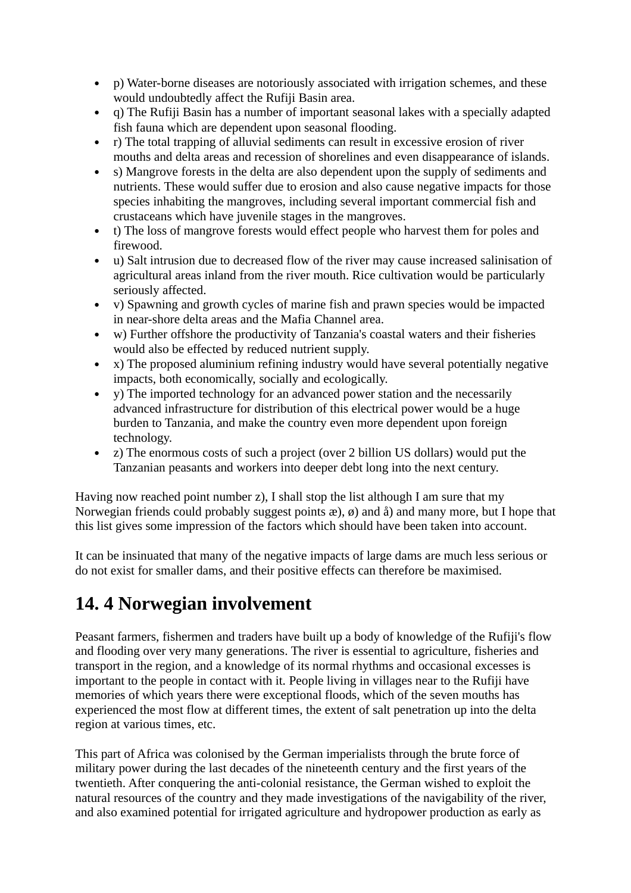- p) Water-borne diseases are notoriously associated with irrigation schemes, and these would undoubtedly affect the Rufiji Basin area.
- q) The Rufiji Basin has a number of important seasonal lakes with a specially adapted fish fauna which are dependent upon seasonal flooding.
- r) The total trapping of alluvial sediments can result in excessive erosion of river mouths and delta areas and recession of shorelines and even disappearance of islands.
- s) Mangrove forests in the delta are also dependent upon the supply of sediments and nutrients. These would suffer due to erosion and also cause negative impacts for those species inhabiting the mangroves, including several important commercial fish and crustaceans which have juvenile stages in the mangroves.
- t) The loss of mangrove forests would effect people who harvest them for poles and firewood.
- u) Salt intrusion due to decreased flow of the river may cause increased salinisation of agricultural areas inland from the river mouth. Rice cultivation would be particularly seriously affected.
- v) Spawning and growth cycles of marine fish and prawn species would be impacted in near-shore delta areas and the Mafia Channel area.
- w) Further offshore the productivity of Tanzania's coastal waters and their fisheries would also be effected by reduced nutrient supply.
- x) The proposed aluminium refining industry would have several potentially negative impacts, both economically, socially and ecologically.
- y) The imported technology for an advanced power station and the necessarily advanced infrastructure for distribution of this electrical power would be a huge burden to Tanzania, and make the country even more dependent upon foreign technology.
- z) The enormous costs of such a project (over 2 billion US dollars) would put the Tanzanian peasants and workers into deeper debt long into the next century.

Having now reached point number z), I shall stop the list although I am sure that my Norwegian friends could probably suggest points  $\alpha$ ),  $\varnothing$ ) and  $\alpha$ <sup>3</sup>) and many more, but I hope that this list gives some impression of the factors which should have been taken into account.

It can be insinuated that many of the negative impacts of large dams are much less serious or do not exist for smaller dams, and their positive effects can therefore be maximised.

## **14. 4 Norwegian involvement**

Peasant farmers, fishermen and traders have built up a body of knowledge of the Rufiji's flow and flooding over very many generations. The river is essential to agriculture, fisheries and transport in the region, and a knowledge of its normal rhythms and occasional excesses is important to the people in contact with it. People living in villages near to the Rufiji have memories of which years there were exceptional floods, which of the seven mouths has experienced the most flow at different times, the extent of salt penetration up into the delta region at various times, etc.

This part of Africa was colonised by the German imperialists through the brute force of military power during the last decades of the nineteenth century and the first years of the twentieth. After conquering the anti-colonial resistance, the German wished to exploit the natural resources of the country and they made investigations of the navigability of the river, and also examined potential for irrigated agriculture and hydropower production as early as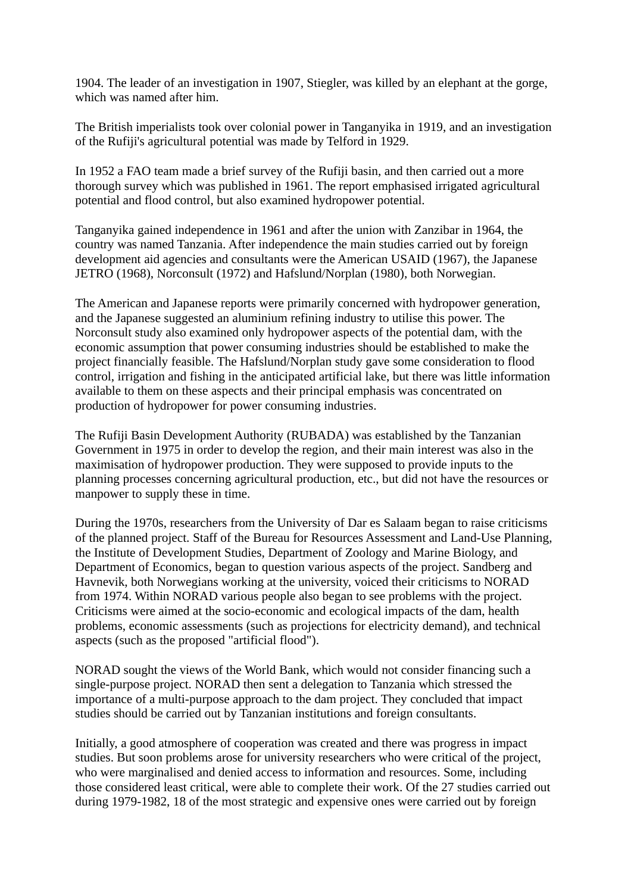1904. The leader of an investigation in 1907, Stiegler, was killed by an elephant at the gorge, which was named after him.

The British imperialists took over colonial power in Tanganyika in 1919, and an investigation of the Rufiji's agricultural potential was made by Telford in 1929.

In 1952 a FAO team made a brief survey of the Rufiji basin, and then carried out a more thorough survey which was published in 1961. The report emphasised irrigated agricultural potential and flood control, but also examined hydropower potential.

Tanganyika gained independence in 1961 and after the union with Zanzibar in 1964, the country was named Tanzania. After independence the main studies carried out by foreign development aid agencies and consultants were the American USAID (1967), the Japanese JETRO (1968), Norconsult (1972) and Hafslund/Norplan (1980), both Norwegian.

The American and Japanese reports were primarily concerned with hydropower generation, and the Japanese suggested an aluminium refining industry to utilise this power. The Norconsult study also examined only hydropower aspects of the potential dam, with the economic assumption that power consuming industries should be established to make the project financially feasible. The Hafslund/Norplan study gave some consideration to flood control, irrigation and fishing in the anticipated artificial lake, but there was little information available to them on these aspects and their principal emphasis was concentrated on production of hydropower for power consuming industries.

The Rufiji Basin Development Authority (RUBADA) was established by the Tanzanian Government in 1975 in order to develop the region, and their main interest was also in the maximisation of hydropower production. They were supposed to provide inputs to the planning processes concerning agricultural production, etc., but did not have the resources or manpower to supply these in time.

During the 1970s, researchers from the University of Dar es Salaam began to raise criticisms of the planned project. Staff of the Bureau for Resources Assessment and Land-Use Planning, the Institute of Development Studies, Department of Zoology and Marine Biology, and Department of Economics, began to question various aspects of the project. Sandberg and Havnevik, both Norwegians working at the university, voiced their criticisms to NORAD from 1974. Within NORAD various people also began to see problems with the project. Criticisms were aimed at the socio-economic and ecological impacts of the dam, health problems, economic assessments (such as projections for electricity demand), and technical aspects (such as the proposed "artificial flood").

NORAD sought the views of the World Bank, which would not consider financing such a single-purpose project. NORAD then sent a delegation to Tanzania which stressed the importance of a multi-purpose approach to the dam project. They concluded that impact studies should be carried out by Tanzanian institutions and foreign consultants.

Initially, a good atmosphere of cooperation was created and there was progress in impact studies. But soon problems arose for university researchers who were critical of the project, who were marginalised and denied access to information and resources. Some, including those considered least critical, were able to complete their work. Of the 27 studies carried out during 1979-1982, 18 of the most strategic and expensive ones were carried out by foreign